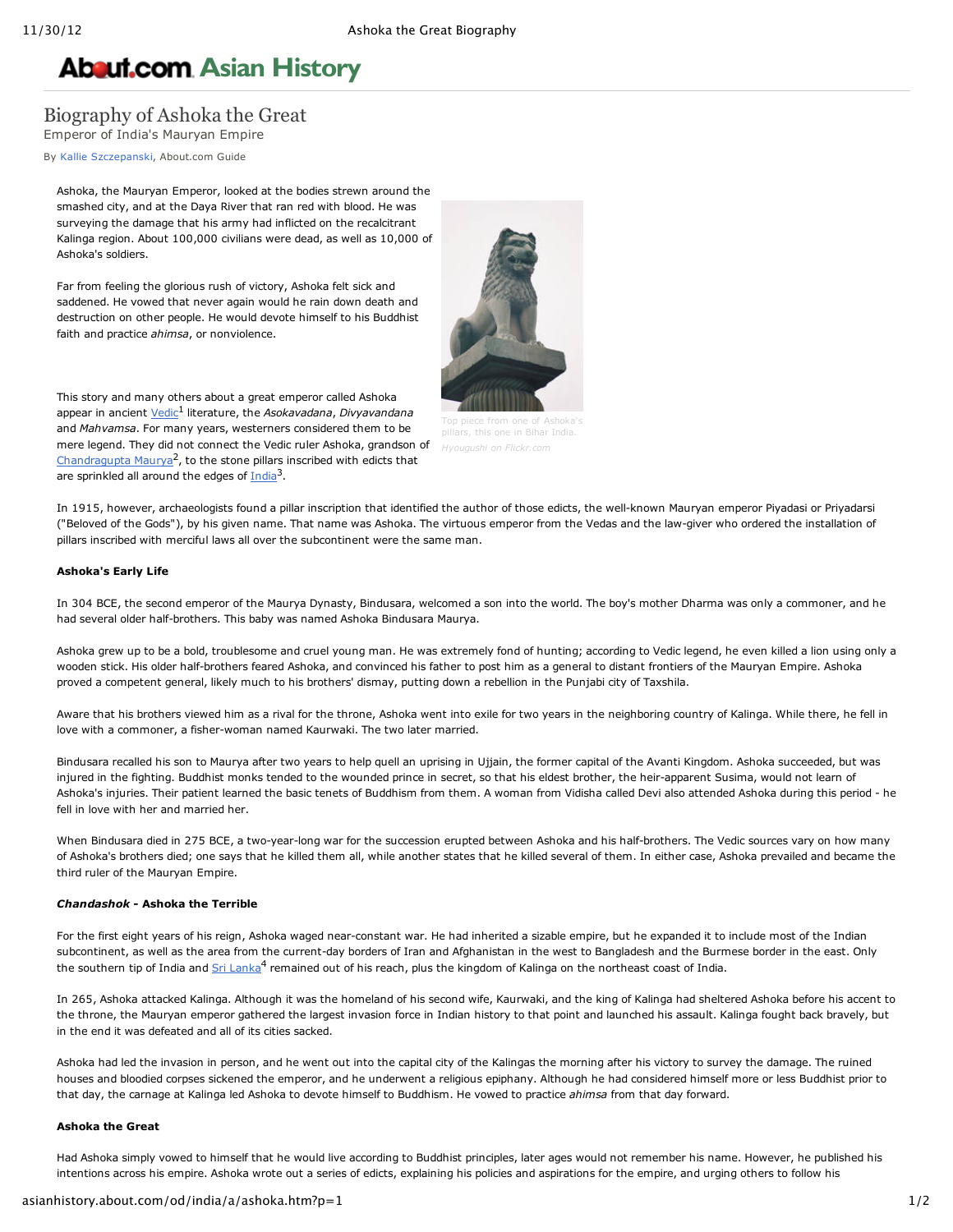# **About.com Asian [History](http://asianhistory.about.com/)**

# Biography of Ashoka the Great

Emperor of India's Mauryan Empire

By Kallie [Szczepanski](http://asianhistory.about.com/bio/Kallie-Szczepanski-40912.htm), About.com Guide

Ashoka, the Mauryan Emperor, looked at the bodies strewn around the smashed city, and at the Daya River that ran red with blood. He was surveying the damage that his army had inflicted on the recalcitrant Kalinga region. About 100,000 civilians were dead, as well as 10,000 of Ashoka's soldiers.

Far from feeling the glorious rush of victory, Ashoka felt sick and saddened. He vowed that never again would he rain down death and destruction on other people. He would devote himself to his Buddhist faith and practice *ahimsa*, or nonviolence.

This story and many others about a great emperor called Ashoka appear in ancient *[Vedic](http://asianhistory.about.com/od/glossarytz/g/vedasglos.htm)<sup>1</sup>* literature, the *Asokavadana*, *Divyavandana* and *Mahvamsa*. For many years, westerners considered them to be mere legend. They did not connect the Vedic ruler Ashoka, grandson of [Chandragupta](http://asianhistory.about.com/od/india/p/Biography-of-Chandragupta-Maurya.htm) Maurya<sup>2</sup>, to the stone pillars inscribed with edicts that are sprinkled all around the edges of [India](http://asianhistory.about.com/od/india/p/indiaprof.htm)<sup>3</sup>.



his one in Bihar India. *Hyougushi on Flickr.com*

In 1915, however, archaeologists found a pillar inscription that identified the author of those edicts, the well-known Mauryan emperor Piyadasi or Priyadarsi ("Beloved of the Gods"), by his given name. That name was Ashoka. The virtuous emperor from the Vedas and the law-giver who ordered the installation of pillars inscribed with merciful laws all over the subcontinent were the same man.

# **Ashoka's Early Life**

In 304 BCE, the second emperor of the Maurya Dynasty, Bindusara, welcomed a son into the world. The boy's mother Dharma was only a commoner, and he had several older half-brothers. This baby was named Ashoka Bindusara Maurya.

Ashoka grew up to be a bold, troublesome and cruel young man. He was extremely fond of hunting; according to Vedic legend, he even killed a lion using only a wooden stick. His older half-brothers feared Ashoka, and convinced his father to post him as a general to distant frontiers of the Mauryan Empire. Ashoka proved a competent general, likely much to his brothers' dismay, putting down a rebellion in the Punjabi city of Taxshila.

Aware that his brothers viewed him as a rival for the throne, Ashoka went into exile for two years in the neighboring country of Kalinga. While there, he fell in love with a commoner, a fisher-woman named Kaurwaki. The two later married.

Bindusara recalled his son to Maurya after two years to help quell an uprising in Ujjain, the former capital of the Avanti Kingdom. Ashoka succeeded, but was injured in the fighting. Buddhist monks tended to the wounded prince in secret, so that his eldest brother, the heir-apparent Susima, would not learn of Ashoka's injuries. Their patient learned the basic tenets of Buddhism from them. A woman from Vidisha called Devi also attended Ashoka during this period he fell in love with her and married her.

When Bindusara died in 275 BCE, a two-year-long war for the succession erupted between Ashoka and his half-brothers. The Vedic sources vary on how many of Ashoka's brothers died; one says that he killed them all, while another states that he killed several of them. In either case, Ashoka prevailed and became the third ruler of the Mauryan Empire.

## *Chandashok* **Ashoka the Terrible**

For the first eight years of his reign, Ashoka waged near-constant war. He had inherited a sizable empire, but he expanded it to include most of the Indian subcontinent, as well as the area from the current-day borders of Iran and Afghanistan in the west to Bangladesh and the Burmese border in the east. Only the southern tip of India and Sri [Lanka](http://asianhistory.about.com/od/Sri_Lanka/p/Sri-Lanka-Facts-and-History.htm)<sup>4</sup> remained out of his reach, plus the kingdom of Kalinga on the northeast coast of India.

In 265, Ashoka attacked Kalinga. Although it was the homeland of his second wife, Kaurwaki, and the king of Kalinga had sheltered Ashoka before his accent to the throne, the Mauryan emperor gathered the largest invasion force in Indian history to that point and launched his assault. Kalinga fought back bravely, but in the end it was defeated and all of its cities sacked.

Ashoka had led the invasion in person, and he went out into the capital city of the Kalingas the morning after his victory to survey the damage. The ruined houses and bloodied corpses sickened the emperor, and he underwent a religious epiphany. Although he had considered himself more or less Buddhist prior to that day, the carnage at Kalinga led Ashoka to devote himself to Buddhism. He vowed to practice *ahimsa* from that day forward.

### **Ashoka the Great**

Had Ashoka simply vowed to himself that he would live according to Buddhist principles, later ages would not remember his name. However, he published his intentions across his empire. Ashoka wrote out a series of edicts, explaining his policies and aspirations for the empire, and urging others to follow his